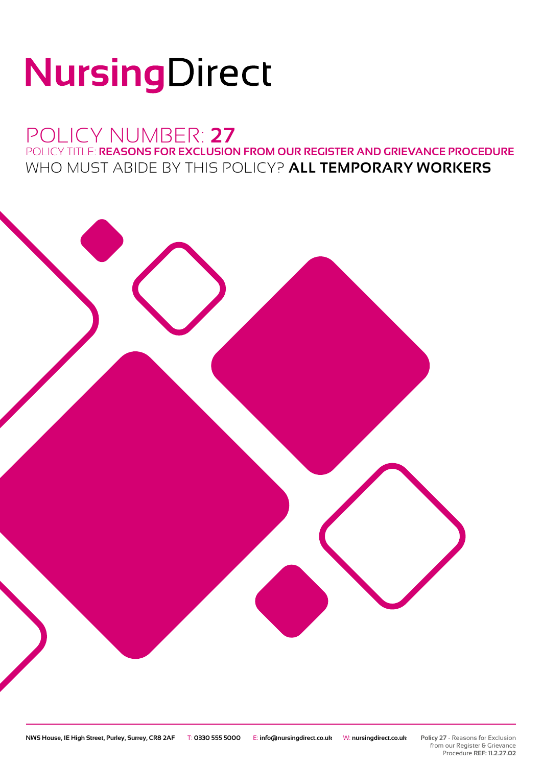# NursingDirect

## POLICY NUMBER: **27**

POLICY TITLE: **REASONS FOR EXCLUSION FROM OUR REGISTER AND GRIEVANCE PROCEDURE** WHO MUST ABIDE BY THIS POLICY? **ALL TEMPORARY WORKERS**